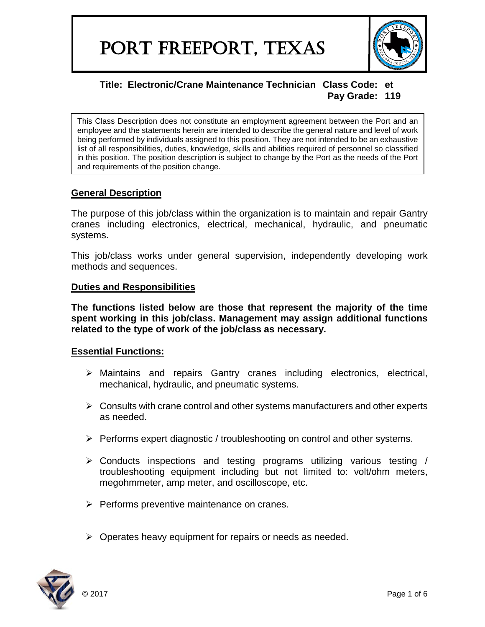

This Class Description does not constitute an employment agreement between the Port and an employee and the statements herein are intended to describe the general nature and level of work being performed by individuals assigned to this position. They are not intended to be an exhaustive list of all responsibilities, duties, knowledge, skills and abilities required of personnel so classified in this position. The position description is subject to change by the Port as the needs of the Port and requirements of the position change.

# **General Description**

The purpose of this job/class within the organization is to maintain and repair Gantry cranes including electronics, electrical, mechanical, hydraulic, and pneumatic systems.

This job/class works under general supervision, independently developing work methods and sequences.

## **Duties and Responsibilities**

**The functions listed below are those that represent the majority of the time spent working in this job/class. Management may assign additional functions related to the type of work of the job/class as necessary.**

### **Essential Functions:**

- $\triangleright$  Maintains and repairs Gantry cranes including electronics, electrical, mechanical, hydraulic, and pneumatic systems.
- $\triangleright$  Consults with crane control and other systems manufacturers and other experts as needed.
- $\triangleright$  Performs expert diagnostic / troubleshooting on control and other systems.
- $\triangleright$  Conducts inspections and testing programs utilizing various testing / troubleshooting equipment including but not limited to: volt/ohm meters, megohmmeter, amp meter, and oscilloscope, etc.
- $\triangleright$  Performs preventive maintenance on cranes.
- $\triangleright$  Operates heavy equipment for repairs or needs as needed.

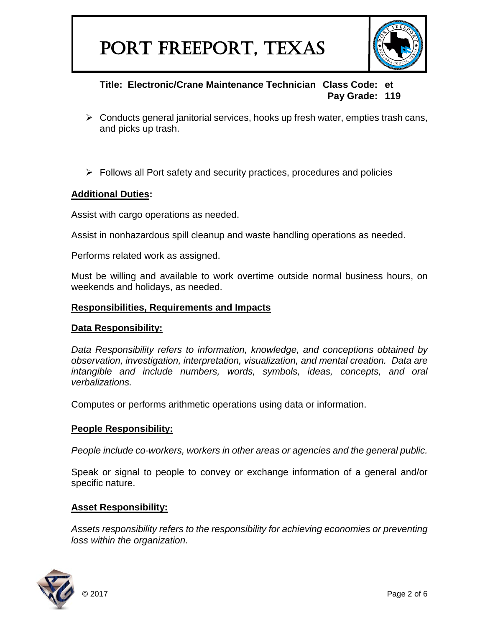

- $\triangleright$  Conducts general janitorial services, hooks up fresh water, empties trash cans, and picks up trash.
- $\triangleright$  Follows all Port safety and security practices, procedures and policies

### **Additional Duties:**

Assist with cargo operations as needed.

Assist in nonhazardous spill cleanup and waste handling operations as needed.

Performs related work as assigned.

Must be willing and available to work overtime outside normal business hours, on weekends and holidays, as needed.

### **Responsibilities, Requirements and Impacts**

#### **Data Responsibility:**

*Data Responsibility refers to information, knowledge, and conceptions obtained by observation, investigation, interpretation, visualization, and mental creation. Data are intangible and include numbers, words, symbols, ideas, concepts, and oral verbalizations.*

Computes or performs arithmetic operations using data or information.

### **People Responsibility:**

*People include co-workers, workers in other areas or agencies and the general public.*

Speak or signal to people to convey or exchange information of a general and/or specific nature.

### **Asset Responsibility:**

*Assets responsibility refers to the responsibility for achieving economies or preventing loss within the organization.*

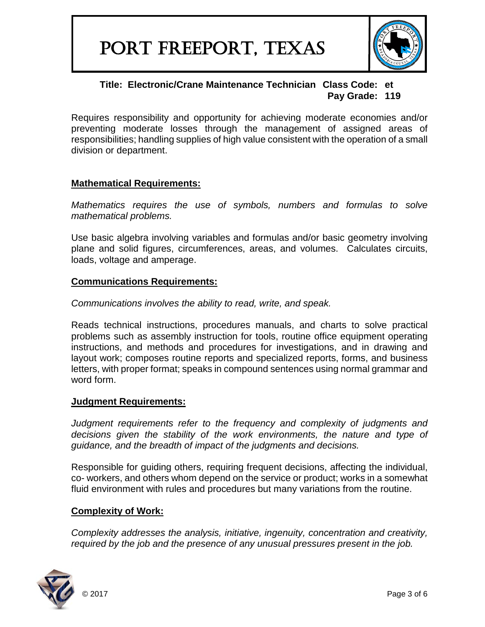

Requires responsibility and opportunity for achieving moderate economies and/or preventing moderate losses through the management of assigned areas of responsibilities; handling supplies of high value consistent with the operation of a small division or department.

### **Mathematical Requirements:**

*Mathematics requires the use of symbols, numbers and formulas to solve mathematical problems.*

Use basic algebra involving variables and formulas and/or basic geometry involving plane and solid figures, circumferences, areas, and volumes. Calculates circuits, loads, voltage and amperage.

### **Communications Requirements:**

*Communications involves the ability to read, write, and speak.*

Reads technical instructions, procedures manuals, and charts to solve practical problems such as assembly instruction for tools, routine office equipment operating instructions, and methods and procedures for investigations, and in drawing and layout work; composes routine reports and specialized reports, forms, and business letters, with proper format; speaks in compound sentences using normal grammar and word form.

### **Judgment Requirements:**

*Judgment requirements refer to the frequency and complexity of judgments and decisions given the stability of the work environments, the nature and type of guidance, and the breadth of impact of the judgments and decisions.*

Responsible for guiding others, requiring frequent decisions, affecting the individual, co- workers, and others whom depend on the service or product; works in a somewhat fluid environment with rules and procedures but many variations from the routine.

## **Complexity of Work:**

*Complexity addresses the analysis, initiative, ingenuity, concentration and creativity, required by the job and the presence of any unusual pressures present in the job.*

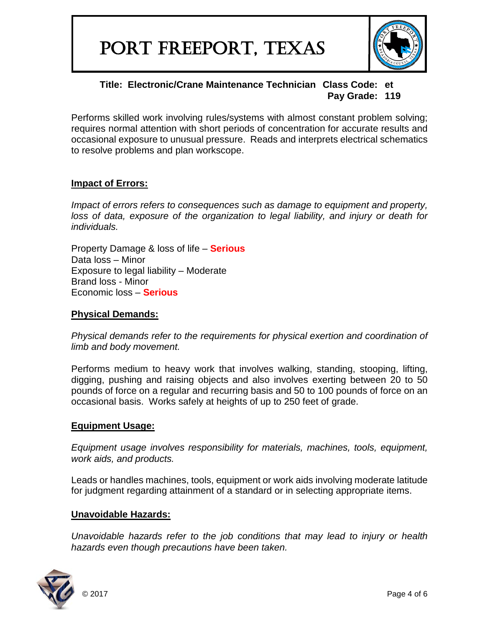

Performs skilled work involving rules/systems with almost constant problem solving; requires normal attention with short periods of concentration for accurate results and occasional exposure to unusual pressure. Reads and interprets electrical schematics to resolve problems and plan workscope.

### **Impact of Errors:**

*Impact of errors refers to consequences such as damage to equipment and property,* loss of data, exposure of the organization to legal liability, and injury or death for *individuals.*

Property Damage & loss of life – **Serious** Data loss – Minor Exposure to legal liability – Moderate Brand loss - Minor Economic loss – **Serious**

### **Physical Demands:**

*Physical demands refer to the requirements for physical exertion and coordination of limb and body movement.*

Performs medium to heavy work that involves walking, standing, stooping, lifting, digging, pushing and raising objects and also involves exerting between 20 to 50 pounds of force on a regular and recurring basis and 50 to 100 pounds of force on an occasional basis. Works safely at heights of up to 250 feet of grade.

### **Equipment Usage:**

*Equipment usage involves responsibility for materials, machines, tools, equipment, work aids, and products.*

Leads or handles machines, tools, equipment or work aids involving moderate latitude for judgment regarding attainment of a standard or in selecting appropriate items.

### **Unavoidable Hazards:**

*Unavoidable hazards refer to the job conditions that may lead to injury or health hazards even though precautions have been taken.*

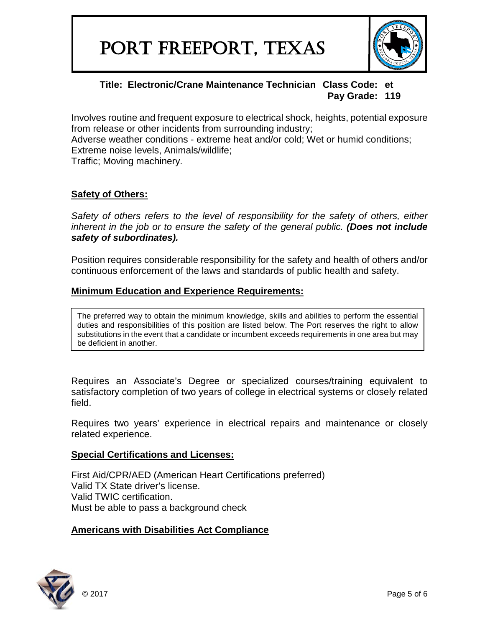

Involves routine and frequent exposure to electrical shock, heights, potential exposure from release or other incidents from surrounding industry;

Adverse weather conditions - extreme heat and/or cold; Wet or humid conditions; Extreme noise levels, Animals/wildlife;

Traffic; Moving machinery.

## **Safety of Others:**

*Safety of others refers to the level of responsibility for the safety of others, either inherent in the job or to ensure the safety of the general public. (Does not include safety of subordinates).*

Position requires considerable responsibility for the safety and health of others and/or continuous enforcement of the laws and standards of public health and safety.

### **Minimum Education and Experience Requirements:**

The preferred way to obtain the minimum knowledge, skills and abilities to perform the essential duties and responsibilities of this position are listed below. The Port reserves the right to allow substitutions in the event that a candidate or incumbent exceeds requirements in one area but may be deficient in another.

Requires an Associate's Degree or specialized courses/training equivalent to satisfactory completion of two years of college in electrical systems or closely related field.

Requires two years' experience in electrical repairs and maintenance or closely related experience.

### **Special Certifications and Licenses:**

First Aid/CPR/AED (American Heart Certifications preferred) Valid TX State driver's license. Valid TWIC certification. Must be able to pass a background check

### **Americans with Disabilities Act Compliance**